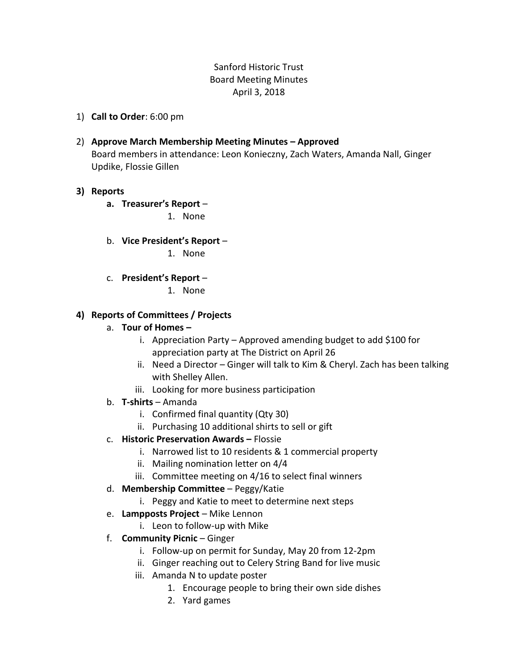## Sanford Historic Trust Board Meeting Minutes April 3, 2018

1) **Call to Order**: 6:00 pm

### 2) **Approve March Membership Meeting Minutes – Approved**

Board members in attendance: Leon Konieczny, Zach Waters, Amanda Nall, Ginger Updike, Flossie Gillen

#### **3) Reports**

**a. Treasurer's Report** –

1. None

b. **Vice President's Report** –

1. None

c. **President's Report** –

1. None

#### **4) Reports of Committees / Projects**

- a. **Tour of Homes –**
	- i. Appreciation Party Approved amending budget to add \$100 for appreciation party at The District on April 26
	- ii. Need a Director Ginger will talk to Kim & Cheryl. Zach has been talking with Shelley Allen.
	- iii. Looking for more business participation
- b. **T-shirts** Amanda
	- i. Confirmed final quantity (Qty 30)
	- ii. Purchasing 10 additional shirts to sell or gift
- c. **Historic Preservation Awards –** Flossie
	- i. Narrowed list to 10 residents & 1 commercial property
	- ii. Mailing nomination letter on 4/4
	- iii. Committee meeting on 4/16 to select final winners
- d. **Membership Committee** Peggy/Katie
	- i. Peggy and Katie to meet to determine next steps
- e. **Lampposts Project** Mike Lennon
	- i. Leon to follow-up with Mike
- f. **Community Picnic** Ginger
	- i. Follow-up on permit for Sunday, May 20 from 12-2pm
	- ii. Ginger reaching out to Celery String Band for live music
	- iii. Amanda N to update poster
		- 1. Encourage people to bring their own side dishes
		- 2. Yard games